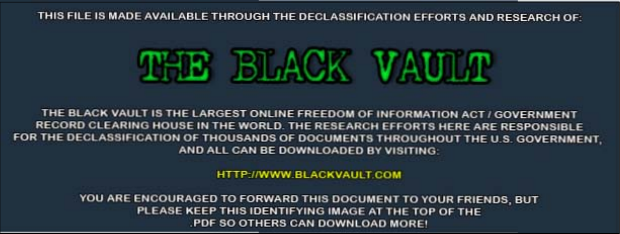THIS FILE IS MADE AVAILABLE THROUGH THE DECLASSIFICATION EFFORTS AND RESEARCH OF:



THE BLACK VAULT IS THE LARGEST ONLINE FREEDOM OF INFORMATION ACT / GOVERNMENT RECORD CLEARING HOUSE IN THE WORLD. THE RESEARCH EFFORTS HERE ARE RESPONSIBLE FOR THE DECLASSIFICATION OF THOUSANDS OF DOCUMENTS THROUGHOUT THE U.S. GOVERNMENT. AND ALL CAN BE DOWNLOADED BY VISITING:

HTTP://WWW.BLACKVAULT.COM

YOU ARE ENCOURAGED TO FORWARD THIS DOCUMENT TO YOUR FRIENDS, BUT PLEASE KEEP THIS IDENTIFYING IMAGE AT THE TOP OF THE PDF SO OTHERS CAN DOWNLOAD MORE!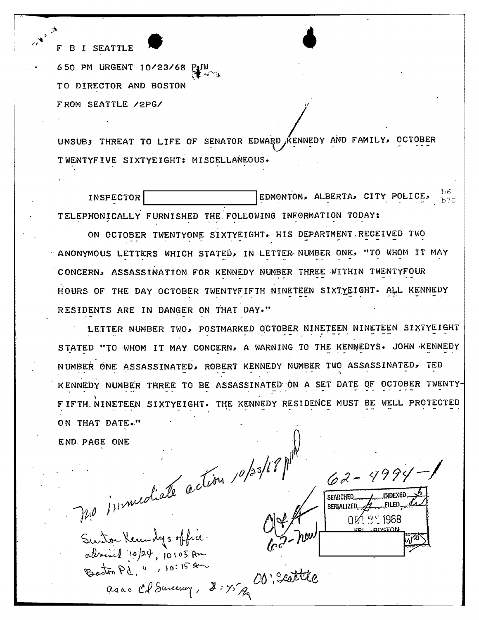I' B I SEATTLE • 650 PM URGENT 10/23/ 68 ff~~~~ TO DIRECTOR AND BOSTON FROM SEATTLE /2PG/

UNSUB; THREAT TO LIFE OF SENATOR EDWARD KENNEDY AND FAMILY, OCTOBER TWENTYFIVE SIXTYEIGHT; MISCELLANEOUS.

,

INSPECTOR LARGE REDMONTON, ALBERTA, CITY POLICE,  $\frac{b6}{b76}$ TELEPHONICALLY FURNISHED THE FOLLOWING INFORMATION TODAY: b7C

ON OCTOBER TWENTYONE SIXTYEIGHT, HIS DEPARTMENT RECEIVED TWO ANONYMOUS LETTERS WHICH STATED, IN LETTER NUMBER ONE, "TO WHOM IT MAY CONCERN, ASSASSINATION FOR KENNEDY NUMBER THREE WITHIN TWENTYFOUR HOURS OF THE DAY OCTOBER TWENTYFIFTH NINETEEN SIXTYEIGHT. ALL KENNEDY RESIDENTS ARE IN DANGER ON THAT DAY."

LETTER NUMBER TWO, POSTMARKED OCTOBER NINETEEN NINETEEN SIXTYEIGHT STATED "TO WHOM IT MAY CONCERN, A WARNING TO THE KENNEDYS. JOHN KENNEDY NUMBER ONE ASSASSINATED, ROBERT KENNEDY NUMBER TWO ASSASSINATED, TED KENNEDY NUMBER THREE TO BE ASSASSINATED ON A SET DATE OF OCTOBER TWENTY-F IFTH. NINETEEN SIXTYEIGHT. THE KENNEDY RESIDENCE MUST BE WELL PROTECTED ON THAT DATE."

END- PAGE

 $\mathcal{W}^{\mathcal{V}}$ 

ONE CONTENT 10/23/68/1<sup>/11</sup>

Sunta Kernalys office<br>adrised 10/24, 10:05 Am used 10/24, 10:05 Am<br>stor Pd, ", 10:15 Am<br>as ac Cd Surceury,  $3.95 R$ Beston Pd, ", 10:15 Au

 $SEARCHED$ SERIALIZED., , \_\_ ,.\_ ,!lED-"'.r:~' ~r 0  $\sqrt{2}$   $\sqrt{2}$  1968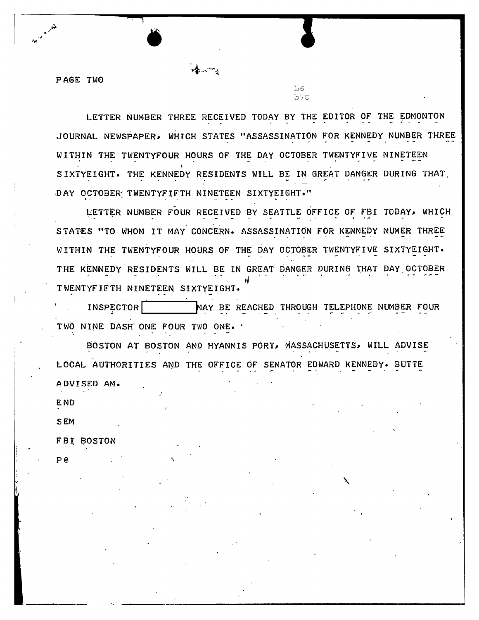PAGE TWO

**•** 

 $b6$ b7C

LETTER NUMBER THREE RECEIVED TODAY BY THE EDITOR OF THE EDMONTON JOURNAL NEWSPAPER, WHICH STATES "ASSASSINATION FOR KENNEDY NUMBER THREE<br>WITHIN THE TWENTYFOUR HOURS OF THE DAY OCTOBER TWENTYFIVE NINETEEN WITHIN THE TWENTYFOUR HOURS OF THE DAY OCTOBER TWENTYFIVE NINETEEN<br>SIXTYEIGHT. THE KENNEDY RESIDENTS WILL BE IN GREAT DANGER DURING THAT DAY OCTOBER: TWENTYFIFTH NINETEEN SIXTYEIGHT."

LETTER NUMBER FOUR RECEIVED BY SEATTLE OFFICE OF FBI TODAY, WHICH STATES "TO WHOM IT MAY CONCERN. ASSASSINATION FOR KENNEDY NUMER THREE WITHIN THE TWENTYFOUR HOURS OF THE DAY OCTOBER TWENTYFIVE SIXTYEIGHT. THE KENNEDY RESIDENTS WILL BE IN GREAT DANGER DURING THAT DAY OCTOBER. TWENTYFIFTH NINETEEN SIXTYEIGHT.

INSPECTOR **1-1 MAY BE REACHED THROUGH TELEPHONE NUMBER FOUR** TWO NINE DASH ONE FOUR TWO ONE. .

BOSTON AT BOSTON AND HYANNIS PORT, MASSACHUSETTS, WILL ADVISE LOCAL AUTHORITIES AND THE OFFICE OF SENATOR EDWARD KENNEDY. BUTTE ADVISED AM.

END

SEM

P@

FBI BOSTON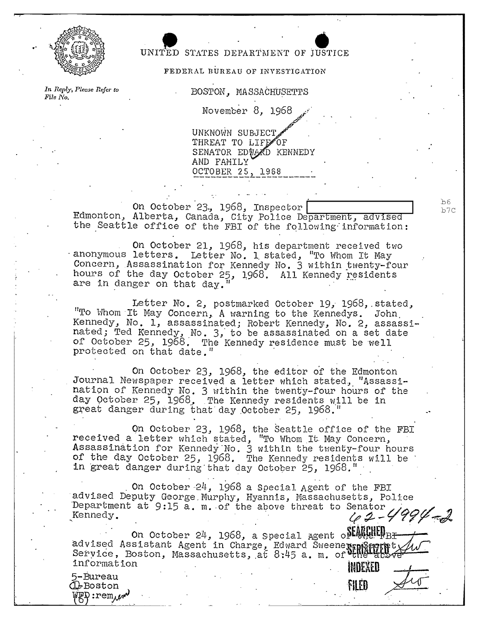

## UNITED STATES DEPARTMENT OF JUSTICE<br> **•• PEDERAL BUREAU OF INVESTIGATION**<br>
• BOSTON. MASSACHUSETTS

## FEDERAL BUREAU OF INVESTIGATION

*In Reply, Please Refer to* File No.

BOSTON. MASSACHUSETTS

November 8. 1968

UNKNOWN SUBJECT THREAT TO LIFE OF SENATOR EDVALD KENNEDY AND FAMILY OCTOBER 25, 1968

On October 23., 1968, Inspector Edmonton, Alberta, Canada, City Police Department, advised the Seattle office of the FBI of the following information:

On October 21, 1968, his department received two. anonymous letters. Letter No. 1 stated, "To Whom It May Concern, Assassination for Kennedy No. 3 within twenty-four hours of the day October 25, 1968. All Kennedy residents are in danger on that day.<sup>"</sup>

Letter No. 2, postmarked October 19, 1968, stated, "To Whom It May Concern, A warning to the Kennedys. John, Kennedy, No. 1, assassinated; Robert Kennedy, No. 2, assassinated; Ted Kennedy, No. 3, to be assassinated on a set date of October 25, 1968. The Kennedy residence must be well protected on that date."

On October 23, 1968, the editor of the Edmonton Journal Newspaper received a letter which stated, "Assassination of Kennedy No. 3 within the twenty-four hours of the day October 25, 1968. The Kennedy residents will be in great danger during that day October 25, 1968.

On October 23, 1968, the Seattle office of the FBI received a letter which stated, "To Whom It May Concern, Assassination for Kennedy No.  $3$  within the twenty-four hours of the day October 25, 1968. The Kennedy residents will be in 'great danger during that day October 25, 1968."

. On Octcber '24, 1968 a Special Agent of the FBI advised Deputy George Murphy, Hyannis, Massachusetts, Police Department at 9:15 a. m. of the above threat to Senator  $\sqrt{qq\psi}$ .

On October 24, 1968, a Special Agent of ED# ED# ED# Computer 24, 1968, a Special Agent of States Service, Boston, Massachusetts, at  $8:45$  a. m. of  $V_{\rm th}$ information **luming the set of the set of the set of the set of the set of the set of the set of the set of the set of the set of the set of the set of the set of the set of the set of the set of the set of the set of the** 

**fiLED** 

5-Bureau  $\mathbb Q$ -Boston  $\mathbb{F}_N$  :rem,  $\mathbb{F}_N$   $b6$ b7C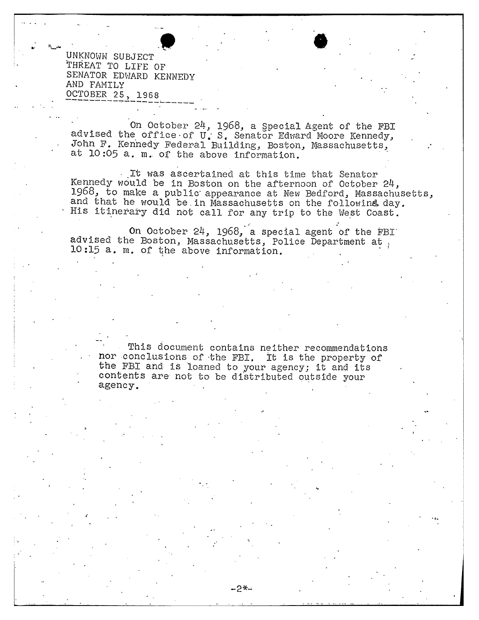UNKNOWN SUBJECT THREAT TO LIFE OF SENATOR EDWARD KENNEDY AND FAMILY OCTOBER 25, 1968

On October 24, 1968, a Special Agent of the FBI advised the office of U.S. Senator Edward Moore Kennedy,<br>John F. Kennedy Federal Building, Boston, Massachusetts, at 10:05 a. m. of the above information.

It was ascertained at this time that Senator Kennedy would be in Boston on the afternoon of October 24, 1968, to make a public appearance at New Bedford, Massachusetts, and that he would be in Massachusetts on the followins day. His itinerary did not call for any trip to the West Coast.

On October 24, 1968, a special agent of the FBI advised the Boston, Massachusetts, Police Department at, 10:15 a. m. of the above information.

This document contains neither recommendations nor conclusions of the FBI. It is the property of the FBI and is loaned to your agency; it and its contents are not to be distributed outside your agency.